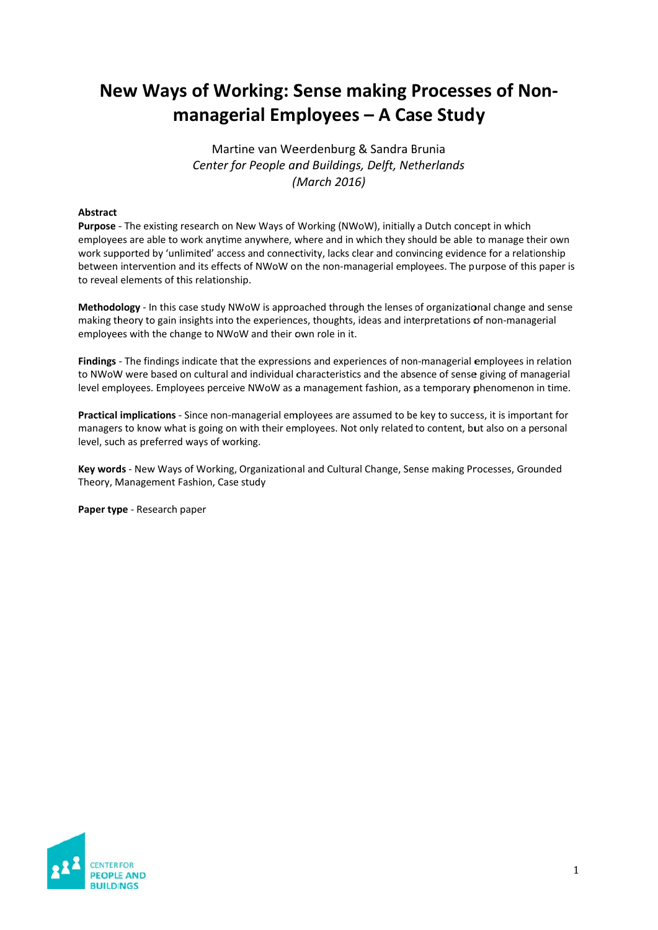# **New Ways of Working: Sense making Processes of Nonmanagerial Employees – A Case Study**

Martine van Weerdenburg & Sandra Brunia *Center* for People and Buildings, Delft, Netherlands *(M (March 2016 6)*

## **Abstract**

Purpose - The existing research on New Ways of Working (NWoW), initially a Dutch concept in which employees are able to work anytime anywhere, where and in which they should be able to manage their own work supported by 'unlimited' access and connectivity, lacks clear and convincing evidence for a relationship between intervention and its effects of NWoW on the non-managerial employees. The purpose of this paper is to reveal elements of this relationship.

Methodology - In this case study NWoW is approached through the lenses of organizational change and sense making theory to gain insights into the experiences, thoughts, ideas and interpretations of non-managerial employees with the change to NWoW and their own role in it.

Findings - The findings indicate that the expressions and experiences of non-managerial employees in relation to NWoW were based on cultural and individual characteristics and the absence of sense giving of managerial level employees. Employees perceive NWoW as a management fashion, as a temporary phenomenon in time.

Practical implications - Since non-managerial employees are assumed to be key to success, it is important for managers to know what is going on with their employees. Not only related to content, but also on a personal level, such as preferred ways of working.

Key words - New Ways of Working, Organizational and Cultural Change, Sense making Processes, Grounded Theory, M Management Fashion, Case e study

Paper type - Research paper

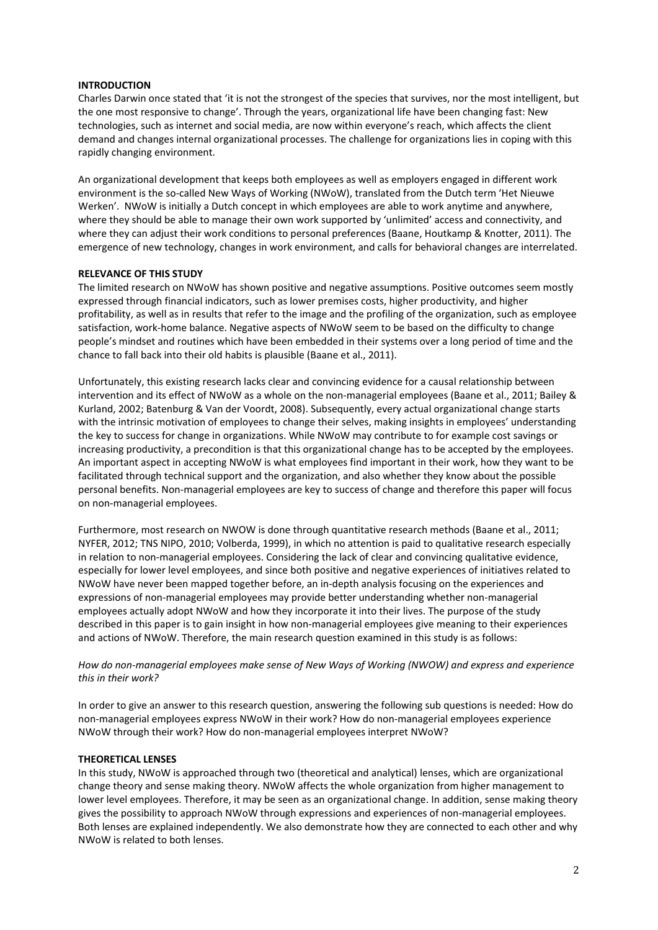## **INTRODUCTION**

Charles Darwin once stated that 'it is not the strongest of the species that survives, nor the most intelligent, but the one most responsive to change'. Through the years, organizational life have been changing fast: New technologies, such as internet and social media, are now within everyone's reach, which affects the client demand and changes internal organizational processes. The challenge for organizations lies in coping with this rapidly changing environment.

An organizational development that keeps both employees as well as employers engaged in different work environment is the so-called New Ways of Working (NWoW), translated from the Dutch term 'Het Nieuwe Werken'. NWoW is initially a Dutch concept in which employees are able to work anytime and anywhere, where they should be able to manage their own work supported by 'unlimited' access and connectivity, and where they can adjust their work conditions to personal preferences (Baane, Houtkamp & Knotter, 2011). The emergence of new technology, changes in work environment, and calls for behavioral changes are interrelated.

## **RELEVANCE OF THIS STUDY**

The limited research on NWoW has shown positive and negative assumptions. Positive outcomes seem mostly expressed through financial indicators, such as lower premises costs, higher productivity, and higher profitability, as well as in results that refer to the image and the profiling of the organization, such as employee satisfaction, work-home balance. Negative aspects of NWoW seem to be based on the difficulty to change people's mindset and routines which have been embedded in their systems over a long period of time and the chance to fall back into their old habits is plausible (Baane et al., 2011).

Unfortunately, this existing research lacks clear and convincing evidence for a causal relationship between intervention and its effect of NWoW as a whole on the non‐managerial employees (Baane et al., 2011; Bailey & Kurland, 2002; Batenburg & Van der Voordt, 2008). Subsequently, every actual organizational change starts with the intrinsic motivation of employees to change their selves, making insights in employees' understanding the key to success for change in organizations. While NWoW may contribute to for example cost savings or increasing productivity, a precondition is that this organizational change has to be accepted by the employees. An important aspect in accepting NWoW is what employees find important in their work, how they want to be facilitated through technical support and the organization, and also whether they know about the possible personal benefits. Non-managerial employees are key to success of change and therefore this paper will focus on non‐managerial employees.

Furthermore, most research on NWOW is done through quantitative research methods (Baane et al., 2011; NYFER, 2012; TNS NIPO, 2010; Volberda, 1999), in which no attention is paid to qualitative research especially in relation to non-managerial employees. Considering the lack of clear and convincing qualitative evidence, especially for lower level employees, and since both positive and negative experiences of initiatives related to NWoW have never been mapped together before, an in‐depth analysis focusing on the experiences and expressions of non-managerial employees may provide better understanding whether non-managerial employees actually adopt NWoW and how they incorporate it into their lives. The purpose of the study described in this paper is to gain insight in how non‐managerial employees give meaning to their experiences and actions of NWoW. Therefore, the main research question examined in this study is as follows:

## How do non-managerial employees make sense of New Ways of Working (NWOW) and express and experience *this in their work?*

In order to give an answer to this research question, answering the following sub questions is needed: How do non‐managerial employees express NWoW in their work? How do non‐managerial employees experience NWoW through their work? How do non‐managerial employees interpret NWoW?

#### **THEORETICAL LENSES**

In this study, NWoW is approached through two (theoretical and analytical) lenses, which are organizational change theory and sense making theory. NWoW affects the whole organization from higher management to lower level employees. Therefore, it may be seen as an organizational change. In addition, sense making theory gives the possibility to approach NWoW through expressions and experiences of non-managerial employees. Both lenses are explained independently. We also demonstrate how they are connected to each other and why NWoW is related to both lenses.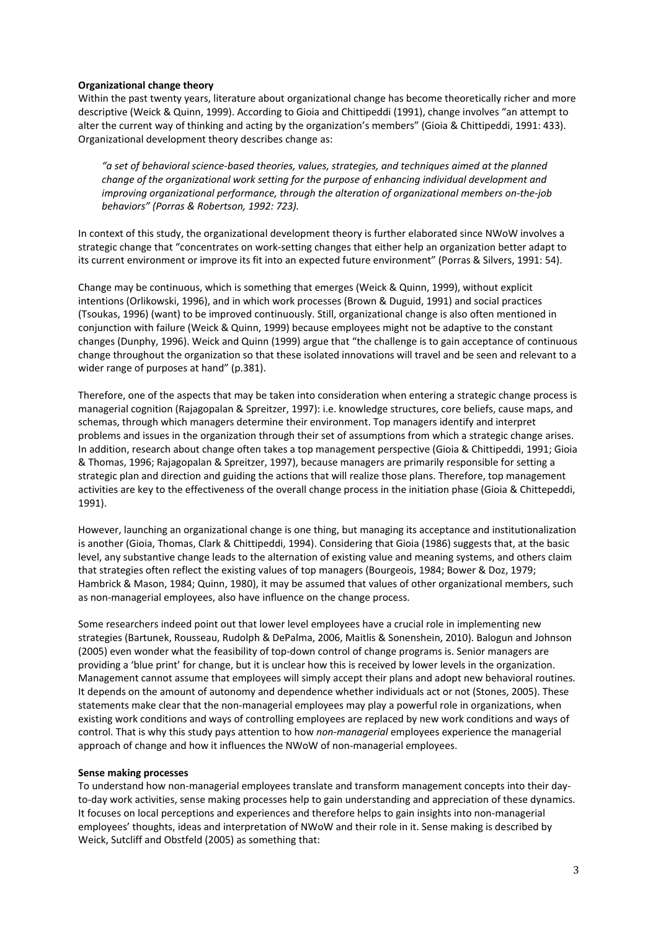## **Organizational change theory**

Within the past twenty years, literature about organizational change has become theoretically richer and more descriptive (Weick & Quinn, 1999). According to Gioia and Chittipeddi (1991), change involves "an attempt to alter the current way of thinking and acting by the organization's members" (Gioia & Chittipeddi, 1991: 433). Organizational development theory describes change as:

*"a set of behavioral science‐based theories, values, strategies, and techniques aimed at the planned change of the organizational work setting for the purpose of enhancing individual development and improving organizational performance, through the alteration of organizational members on‐the‐job behaviors" (Porras & Robertson, 1992: 723).* 

In context of this study, the organizational development theory is further elaborated since NWoW involves a strategic change that "concentrates on work‐setting changes that either help an organization better adapt to its current environment or improve its fit into an expected future environment" (Porras & Silvers, 1991: 54).

Change may be continuous, which is something that emerges (Weick & Quinn, 1999), without explicit intentions (Orlikowski, 1996), and in which work processes (Brown & Duguid, 1991) and social practices (Tsoukas, 1996) (want) to be improved continuously. Still, organizational change is also often mentioned in conjunction with failure (Weick & Quinn, 1999) because employees might not be adaptive to the constant changes (Dunphy, 1996). Weick and Quinn (1999) argue that "the challenge is to gain acceptance of continuous change throughout the organization so that these isolated innovations will travel and be seen and relevant to a wider range of purposes at hand" (p.381).

Therefore, one of the aspects that may be taken into consideration when entering a strategic change process is managerial cognition (Rajagopalan & Spreitzer, 1997): i.e. knowledge structures, core beliefs, cause maps, and schemas, through which managers determine their environment. Top managers identify and interpret problems and issues in the organization through their set of assumptions from which a strategic change arises. In addition, research about change often takes a top management perspective (Gioia & Chittipeddi, 1991; Gioia & Thomas, 1996; Rajagopalan & Spreitzer, 1997), because managers are primarily responsible for setting a strategic plan and direction and guiding the actions that will realize those plans. Therefore, top management activities are key to the effectiveness of the overall change process in the initiation phase (Gioia & Chittepeddi, 1991).

However, launching an organizational change is one thing, but managing its acceptance and institutionalization is another (Gioia, Thomas, Clark & Chittipeddi, 1994). Considering that Gioia (1986) suggests that, at the basic level, any substantive change leads to the alternation of existing value and meaning systems, and others claim that strategies often reflect the existing values of top managers (Bourgeois, 1984; Bower & Doz, 1979; Hambrick & Mason, 1984; Quinn, 1980), it may be assumed that values of other organizational members, such as non-managerial employees, also have influence on the change process.

Some researchers indeed point out that lower level employees have a crucial role in implementing new strategies (Bartunek, Rousseau, Rudolph & DePalma, 2006, Maitlis & Sonenshein, 2010). Balogun and Johnson (2005) even wonder what the feasibility of top-down control of change programs is. Senior managers are providing a 'blue print' for change, but it is unclear how this is received by lower levels in the organization. Management cannot assume that employees will simply accept their plans and adopt new behavioral routines. It depends on the amount of autonomy and dependence whether individuals act or not (Stones, 2005). These statements make clear that the non-managerial employees may play a powerful role in organizations, when existing work conditions and ways of controlling employees are replaced by new work conditions and ways of control. That is why this study pays attention to how *non‐managerial* employees experience the managerial approach of change and how it influences the NWoW of non-managerial employees.

#### **Sense making processes**

To understand how non‐managerial employees translate and transform management concepts into their day‐ to-day work activities, sense making processes help to gain understanding and appreciation of these dynamics. It focuses on local perceptions and experiences and therefore helps to gain insights into non‐managerial employees' thoughts, ideas and interpretation of NWoW and their role in it. Sense making is described by Weick, Sutcliff and Obstfeld (2005) as something that: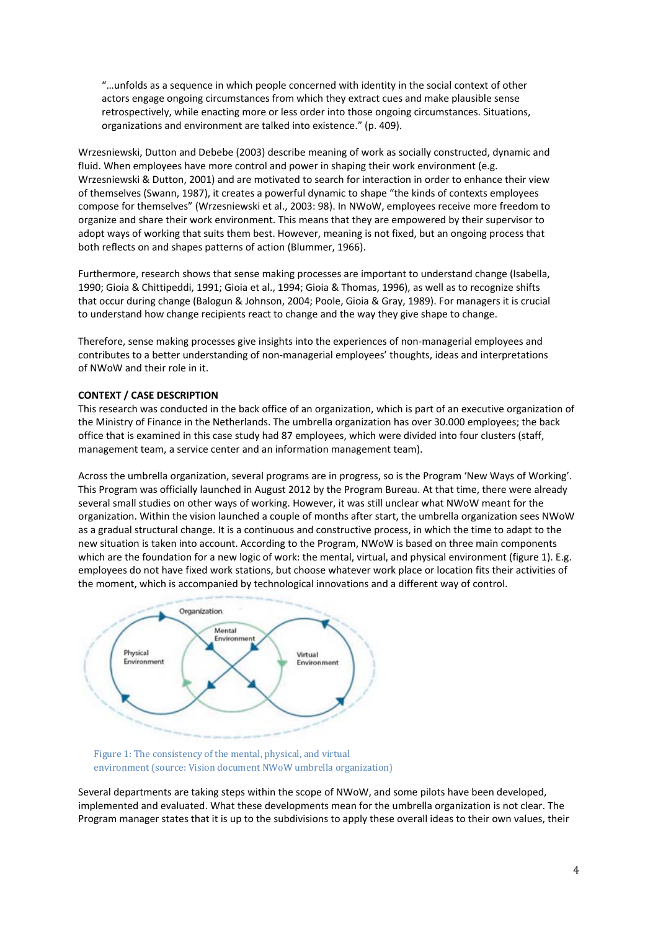"…unfolds as a sequence in which people concerned with identity in the social context of other actors engage ongoing circumstances from which they extract cues and make plausible sense retrospectively, while enacting more or less order into those ongoing circumstances. Situations, organizations and environment are talked into existence." (p. 409).

Wrzesniewski, Dutton and Debebe (2003) describe meaning of work as socially constructed, dynamic and fluid. When employees have more control and power in shaping their work environment (e.g. Wrzesniewski & Dutton, 2001) and are motivated to search for interaction in order to enhance their view of themselves (Swann, 1987), it creates a powerful dynamic to shape "the kinds of contexts employees compose for themselves" (Wrzesniewski et al., 2003: 98). In NWoW, employees receive more freedom to organize and share their work environment. This means that they are empowered by their supervisor to adopt ways of working that suits them best. However, meaning is not fixed, but an ongoing process that both reflects on and shapes patterns of action (Blummer, 1966).

Furthermore, research shows that sense making processes are important to understand change (Isabella, 1990; Gioia & Chittipeddi, 1991; Gioia et al., 1994; Gioia & Thomas, 1996), as well as to recognize shifts that occur during change (Balogun & Johnson, 2004; Poole, Gioia & Gray, 1989). For managers it is crucial to understand how change recipients react to change and the way they give shape to change.

Therefore, sense making processes give insights into the experiences of non-managerial employees and contributes to a better understanding of non‐managerial employees' thoughts, ideas and interpretations of NWoW and their role in it.

## **CONTEXT / CASE DESCRIPTION**

This research was conducted in the back office of an organization, which is part of an executive organization of the Ministry of Finance in the Netherlands. The umbrella organization has over 30.000 employees; the back office that is examined in this case study had 87 employees, which were divided into four clusters (staff, management team, a service center and an information management team).

Across the umbrella organization, several programs are in progress, so is the Program 'New Ways of Working'. This Program was officially launched in August 2012 by the Program Bureau. At that time, there were already several small studies on other ways of working. However, it was still unclear what NWoW meant for the organization. Within the vision launched a couple of months after start, the umbrella organization sees NWoW as a gradual structural change. It is a continuous and constructive process, in which the time to adapt to the new situation is taken into account. According to the Program, NWoW is based on three main components which are the foundation for a new logic of work: the mental, virtual, and physical environment (figure 1). E.g. employees do not have fixed work stations, but choose whatever work place or location fits their activities of the moment, which is accompanied by technological innovations and a different way of control.



Figure 1: The consistency of the mental, physical, and virtual environment (source: Vision document NWoW umbrella organization)

Several departments are taking steps within the scope of NWoW, and some pilots have been developed, implemented and evaluated. What these developments mean for the umbrella organization is not clear. The Program manager states that it is up to the subdivisions to apply these overall ideas to their own values, their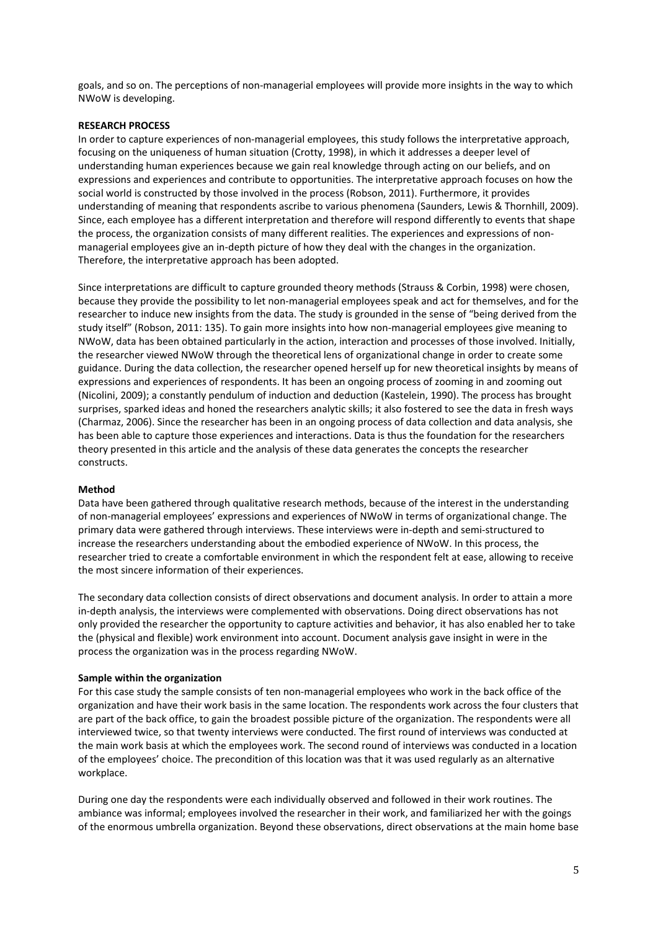goals, and so on. The perceptions of non‐managerial employees will provide more insights in the way to which NWoW is developing.

## **RESEARCH PROCESS**

In order to capture experiences of non-managerial employees, this study follows the interpretative approach, focusing on the uniqueness of human situation (Crotty, 1998), in which it addresses a deeper level of understanding human experiences because we gain real knowledge through acting on our beliefs, and on expressions and experiences and contribute to opportunities. The interpretative approach focuses on how the social world is constructed by those involved in the process (Robson, 2011). Furthermore, it provides understanding of meaning that respondents ascribe to various phenomena (Saunders, Lewis & Thornhill, 2009). Since, each employee has a different interpretation and therefore will respond differently to events that shape the process, the organization consists of many different realities. The experiences and expressions of nonmanagerial employees give an in-depth picture of how they deal with the changes in the organization. Therefore, the interpretative approach has been adopted.

Since interpretations are difficult to capture grounded theory methods (Strauss & Corbin, 1998) were chosen, because they provide the possibility to let non‐managerial employees speak and act for themselves, and for the researcher to induce new insights from the data. The study is grounded in the sense of "being derived from the study itself" (Robson, 2011: 135). To gain more insights into how non‐managerial employees give meaning to NWoW, data has been obtained particularly in the action, interaction and processes of those involved. Initially, the researcher viewed NWoW through the theoretical lens of organizational change in order to create some guidance. During the data collection, the researcher opened herself up for new theoretical insights by means of expressions and experiences of respondents. It has been an ongoing process of zooming in and zooming out (Nicolini, 2009); a constantly pendulum of induction and deduction (Kastelein, 1990). The process has brought surprises, sparked ideas and honed the researchers analytic skills; it also fostered to see the data in fresh ways (Charmaz, 2006). Since the researcher has been in an ongoing process of data collection and data analysis, she has been able to capture those experiences and interactions. Data is thus the foundation for the researchers theory presented in this article and the analysis of these data generates the concepts the researcher constructs.

#### **Method**

Data have been gathered through qualitative research methods, because of the interest in the understanding of non‐managerial employees' expressions and experiences of NWoW in terms of organizational change. The primary data were gathered through interviews. These interviews were in‐depth and semi‐structured to increase the researchers understanding about the embodied experience of NWoW. In this process, the researcher tried to create a comfortable environment in which the respondent felt at ease, allowing to receive the most sincere information of their experiences.

The secondary data collection consists of direct observations and document analysis. In order to attain a more in-depth analysis, the interviews were complemented with observations. Doing direct observations has not only provided the researcher the opportunity to capture activities and behavior, it has also enabled her to take the (physical and flexible) work environment into account. Document analysis gave insight in were in the process the organization was in the process regarding NWoW.

#### **Sample within the organization**

For this case study the sample consists of ten non-managerial employees who work in the back office of the organization and have their work basis in the same location. The respondents work across the four clusters that are part of the back office, to gain the broadest possible picture of the organization. The respondents were all interviewed twice, so that twenty interviews were conducted. The first round of interviews was conducted at the main work basis at which the employees work. The second round of interviews was conducted in a location of the employees' choice. The precondition of this location was that it was used regularly as an alternative workplace.

During one day the respondents were each individually observed and followed in their work routines. The ambiance was informal; employees involved the researcher in their work, and familiarized her with the goings of the enormous umbrella organization. Beyond these observations, direct observations at the main home base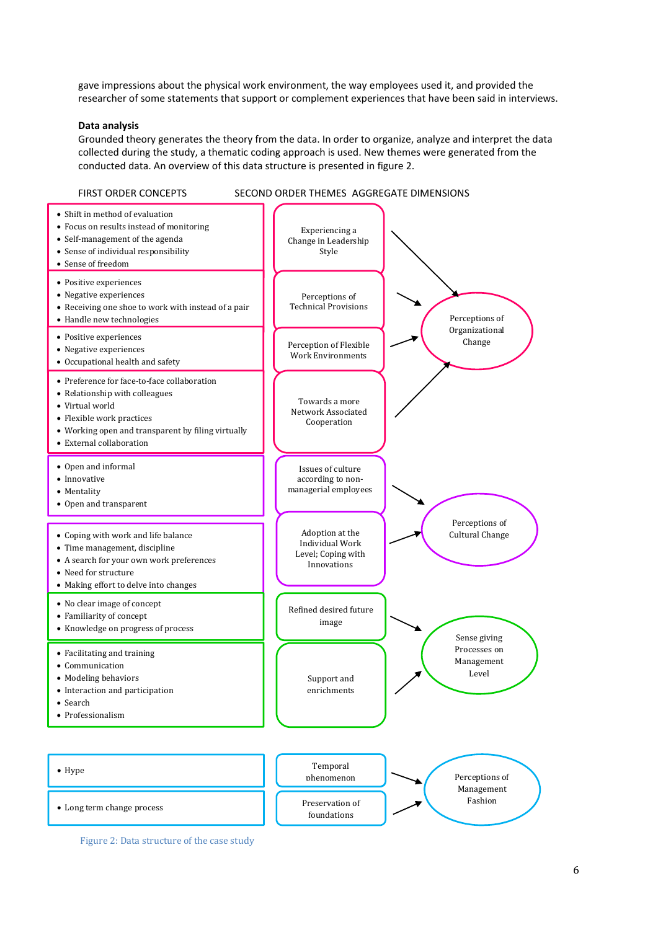gave impressions about the physical work environment, the way employees used it, and provided the researcher of some statements that support or complement experiences that have been said in interviews.

#### **Data analysis**

Grounded theory generates the theory from the data. In order to organize, analyze and interpret the data collected during the study, a thematic coding approach is used. New themes were generated from the conducted data. An overview of this data structure is presented in figure 2.



Figure 2: Data structure of the case study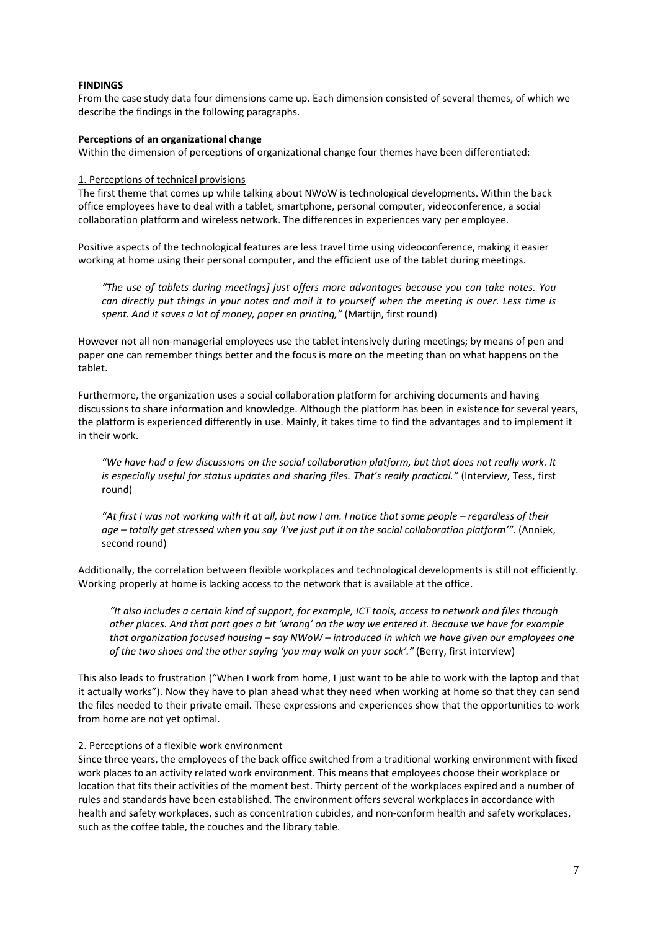## **FINDINGS**

From the case study data four dimensions came up. Each dimension consisted of several themes, of which we describe the findings in the following paragraphs.

### **Perceptions of an organizational change**

Within the dimension of perceptions of organizational change four themes have been differentiated:

#### 1. Perceptions of technical provisions

The first theme that comes up while talking about NWoW is technological developments. Within the back office employees have to deal with a tablet, smartphone, personal computer, videoconference, a social collaboration platform and wireless network. The differences in experiences vary per employee.

Positive aspects of the technological features are less travel time using videoconference, making it easier working at home using their personal computer, and the efficient use of the tablet during meetings.

*"The use of tablets during meetings] just offers more advantages because you can take notes. You* can directly put things in your notes and mail it to yourself when the meeting is over. Less time is *spent. And it saves a lot of money, paper en printing,"* (Martijn, first round)

However not all non-managerial employees use the tablet intensively during meetings; by means of pen and paper one can remember things better and the focus is more on the meeting than on what happens on the tablet.

Furthermore, the organization uses a social collaboration platform for archiving documents and having discussions to share information and knowledge. Although the platform has been in existence for several years, the platform is experienced differently in use. Mainly, it takes time to find the advantages and to implement it in their work.

"We have had a few discussions on the social collaboration platform, but that does not really work. It *is especially useful for status updates and sharing files. That's really practical."* (Interview, Tess, first round)

"At first I was not working with it at all, but now I am. I notice that some people – regardless of their age - totally get stressed when you say 'I've just put it on the social collaboration platform'". (Anniek, second round)

Additionally, the correlation between flexible workplaces and technological developments is still not efficiently. Working properly at home is lacking access to the network that is available at the office.

"It also includes a certain kind of support, for example, ICT tools, access to network and files through other places. And that part goes a bit 'wrong' on the way we entered it. Because we have for example *that organization focused housing – say NWoW – introduced in which we have given our employees one of the two shoes and the other saying 'you may walk on your sock'."* (Berry, first interview)

This also leads to frustration ("When I work from home, I just want to be able to work with the laptop and that it actually works"). Now they have to plan ahead what they need when working at home so that they can send the files needed to their private email. These expressions and experiences show that the opportunities to work from home are not yet optimal.

## 2. Perceptions of a flexible work environment

Since three years, the employees of the back office switched from a traditional working environment with fixed work places to an activity related work environment. This means that employees choose their workplace or location that fits their activities of the moment best. Thirty percent of the workplaces expired and a number of rules and standards have been established. The environment offers several workplaces in accordance with health and safety workplaces, such as concentration cubicles, and non-conform health and safety workplaces, such as the coffee table, the couches and the library table.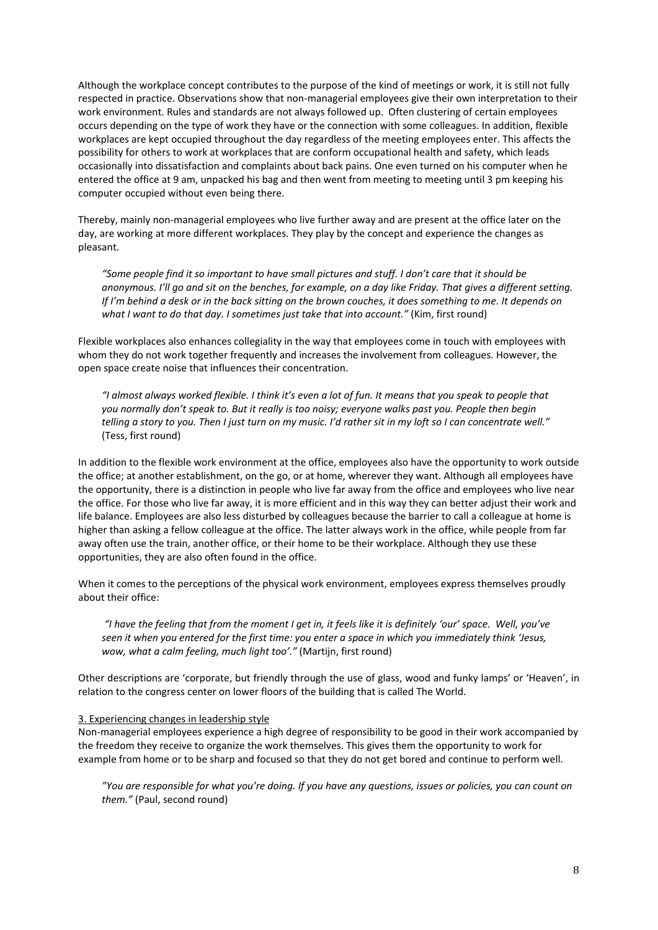Although the workplace concept contributes to the purpose of the kind of meetings or work, it is still not fully respected in practice. Observations show that non-managerial employees give their own interpretation to their work environment. Rules and standards are not always followed up. Often clustering of certain employees occurs depending on the type of work they have or the connection with some colleagues. In addition, flexible workplaces are kept occupied throughout the day regardless of the meeting employees enter. This affects the possibility for others to work at workplaces that are conform occupational health and safety, which leads occasionally into dissatisfaction and complaints about back pains. One even turned on his computer when he entered the office at 9 am, unpacked his bag and then went from meeting to meeting until 3 pm keeping his computer occupied without even being there.

Thereby, mainly non‐managerial employees who live further away and are present at the office later on the day, are working at more different workplaces. They play by the concept and experience the changes as pleasant.

"Some people find it so important to have small pictures and stuff. I don't care that it should be anonymous. I'll go and sit on the benches, for example, on a day like Friday. That gives a different setting. If I'm behind a desk or in the back sitting on the brown couches, it does something to me. It depends on *what I want to do that day. I sometimes just take that into account."* (Kim, first round)

Flexible workplaces also enhances collegiality in the way that employees come in touch with employees with whom they do not work together frequently and increases the involvement from colleagues. However, the open space create noise that influences their concentration.

"I almost always worked flexible. I think it's even a lot of fun. It means that you speak to people that you normally don't speak to. But it really is too noisy; everyone walks past you. People then begin telling a story to you. Then I just turn on my music. I'd rather sit in my loft so I can concentrate well." (Tess, first round)

In addition to the flexible work environment at the office, employees also have the opportunity to work outside the office; at another establishment, on the go, or at home, wherever they want. Although all employees have the opportunity, there is a distinction in people who live far away from the office and employees who live near the office. For those who live far away, it is more efficient and in this way they can better adjust their work and life balance. Employees are also less disturbed by colleagues because the barrier to call a colleague at home is higher than asking a fellow colleague at the office. The latter always work in the office, while people from far away often use the train, another office, or their home to be their workplace. Although they use these opportunities, they are also often found in the office.

When it comes to the perceptions of the physical work environment, employees express themselves proudly about their office:

"I have the feeling that from the moment I get in, it feels like it is definitely 'our' space. Well, you've seen it when you entered for the first time: you enter a space in which you immediately think 'Jesus, *wow, what a calm feeling, much light too'."* (Martijn, first round)

Other descriptions are 'corporate, but friendly through the use of glass, wood and funky lamps' or 'Heaven', in relation to the congress center on lower floors of the building that is called The World.

## 3. Experiencing changes in leadership style

Non-managerial employees experience a high degree of responsibility to be good in their work accompanied by the freedom they receive to organize the work themselves. This gives them the opportunity to work for example from home or to be sharp and focused so that they do not get bored and continue to perform well.

"You are responsible for what you're doing. If you have any questions, issues or policies, you can count on *them."* (Paul, second round)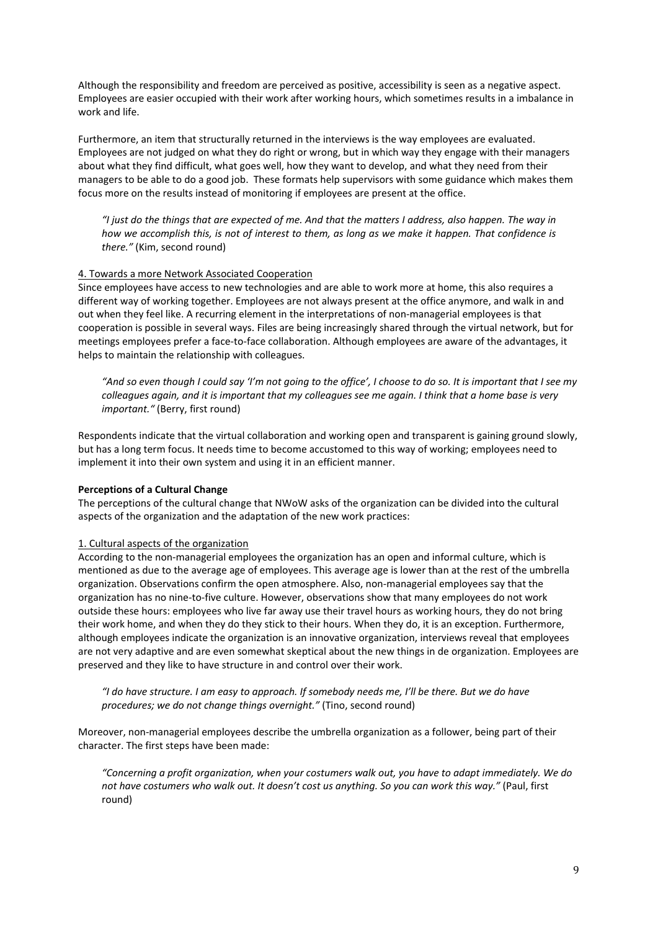Although the responsibility and freedom are perceived as positive, accessibility is seen as a negative aspect. Employees are easier occupied with their work after working hours, which sometimes results in a imbalance in work and life.

Furthermore, an item that structurally returned in the interviews is the way employees are evaluated. Employees are not judged on what they do right or wrong, but in which way they engage with their managers about what they find difficult, what goes well, how they want to develop, and what they need from their managers to be able to do a good job. These formats help supervisors with some guidance which makes them focus more on the results instead of monitoring if employees are present at the office.

"I just do the things that are expected of me. And that the matters I address, also happen. The way in how we accomplish this, is not of interest to them, as long as we make it happen. That confidence is *there."* (Kim, second round)

## 4. Towards a more Network Associated Cooperation

Since employees have access to new technologies and are able to work more at home, this also requires a different way of working together. Employees are not always present at the office anymore, and walk in and out when they feel like. A recurring element in the interpretations of non-managerial employees is that cooperation is possible in several ways. Files are being increasingly shared through the virtual network, but for meetings employees prefer a face‐to‐face collaboration. Although employees are aware of the advantages, it helps to maintain the relationship with colleagues.

"And so even though I could say 'I'm not going to the office'. I choose to do so. It is important that I see my colleagues again, and it is important that my colleagues see me again. I think that a home base is very *important."* (Berry, first round)

Respondents indicate that the virtual collaboration and working open and transparent is gaining ground slowly, but has a long term focus. It needs time to become accustomed to this way of working; employees need to implement it into their own system and using it in an efficient manner.

## **Perceptions of a Cultural Change**

The perceptions of the cultural change that NWoW asks of the organization can be divided into the cultural aspects of the organization and the adaptation of the new work practices:

## 1. Cultural aspects of the organization

According to the non‐managerial employees the organization has an open and informal culture, which is mentioned as due to the average age of employees. This average age is lower than at the rest of the umbrella organization. Observations confirm the open atmosphere. Also, non‐managerial employees say that the organization has no nine‐to‐five culture. However, observations show that many employees do not work outside these hours: employees who live far away use their travel hours as working hours, they do not bring their work home, and when they do they stick to their hours. When they do, it is an exception. Furthermore, although employees indicate the organization is an innovative organization, interviews reveal that employees are not very adaptive and are even somewhat skeptical about the new things in de organization. Employees are preserved and they like to have structure in and control over their work.

"I do have structure. I am easy to approach. If somebody needs me, I'll be there. But we do have *procedures; we do not change things overnight."* (Tino, second round)

Moreover, non-managerial employees describe the umbrella organization as a follower, being part of their character. The first steps have been made:

*"Concerning a profit organization, when your costumers walk out, you have to adapt immediately. We do not have costumers who walk out. It doesn't cost us anything. So you can work this way."* (Paul, first round)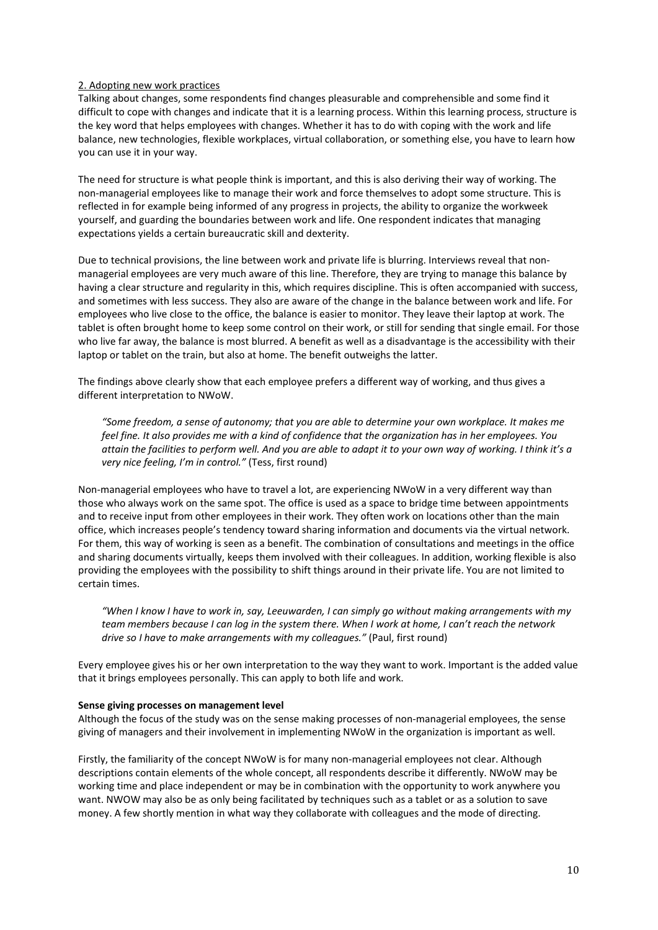## 2. Adopting new work practices

Talking about changes, some respondents find changes pleasurable and comprehensible and some find it difficult to cope with changes and indicate that it is a learning process. Within this learning process, structure is the key word that helps employees with changes. Whether it has to do with coping with the work and life balance, new technologies, flexible workplaces, virtual collaboration, or something else, you have to learn how you can use it in your way.

The need for structure is what people think is important, and this is also deriving their way of working. The non‐managerial employees like to manage their work and force themselves to adopt some structure. This is reflected in for example being informed of any progress in projects, the ability to organize the workweek yourself, and guarding the boundaries between work and life. One respondent indicates that managing expectations yields a certain bureaucratic skill and dexterity.

Due to technical provisions, the line between work and private life is blurring. Interviews reveal that nonmanagerial employees are very much aware of this line. Therefore, they are trying to manage this balance by having a clear structure and regularity in this, which requires discipline. This is often accompanied with success, and sometimes with less success. They also are aware of the change in the balance between work and life. For employees who live close to the office, the balance is easier to monitor. They leave their laptop at work. The tablet is often brought home to keep some control on their work, or still for sending that single email. For those who live far away, the balance is most blurred. A benefit as well as a disadvantage is the accessibility with their laptop or tablet on the train, but also at home. The benefit outweighs the latter.

The findings above clearly show that each employee prefers a different way of working, and thus gives a different interpretation to NWoW.

*"Some freedom, a sense of autonomy; that you are able to determine your own workplace. It makes me* feel fine. It also provides me with a kind of confidence that the organization has in her employees. You attain the facilities to perform well. And you are able to adapt it to your own way of working. I think it's a *very nice feeling, I'm in control."* (Tess, first round)

Non-managerial employees who have to travel a lot, are experiencing NWoW in a very different way than those who always work on the same spot. The office is used as a space to bridge time between appointments and to receive input from other employees in their work. They often work on locations other than the main office, which increases people's tendency toward sharing information and documents via the virtual network. For them, this way of working is seen as a benefit. The combination of consultations and meetings in the office and sharing documents virtually, keeps them involved with their colleagues. In addition, working flexible is also providing the employees with the possibility to shift things around in their private life. You are not limited to certain times.

"When I know I have to work in, say, Leeuwarden, I can simply go without making arrangements with my team members because I can log in the system there. When I work at home, I can't reach the network *drive so I have to make arrangements with my colleagues."* (Paul, first round)

Every employee gives his or her own interpretation to the way they want to work. Important is the added value that it brings employees personally. This can apply to both life and work.

## **Sense giving processes on management level**

Although the focus of the study was on the sense making processes of non-managerial employees, the sense giving of managers and their involvement in implementing NWoW in the organization is important as well.

Firstly, the familiarity of the concept NWoW is for many non-managerial employees not clear. Although descriptions contain elements of the whole concept, all respondents describe it differently. NWoW may be working time and place independent or may be in combination with the opportunity to work anywhere you want. NWOW may also be as only being facilitated by techniques such as a tablet or as a solution to save money. A few shortly mention in what way they collaborate with colleagues and the mode of directing.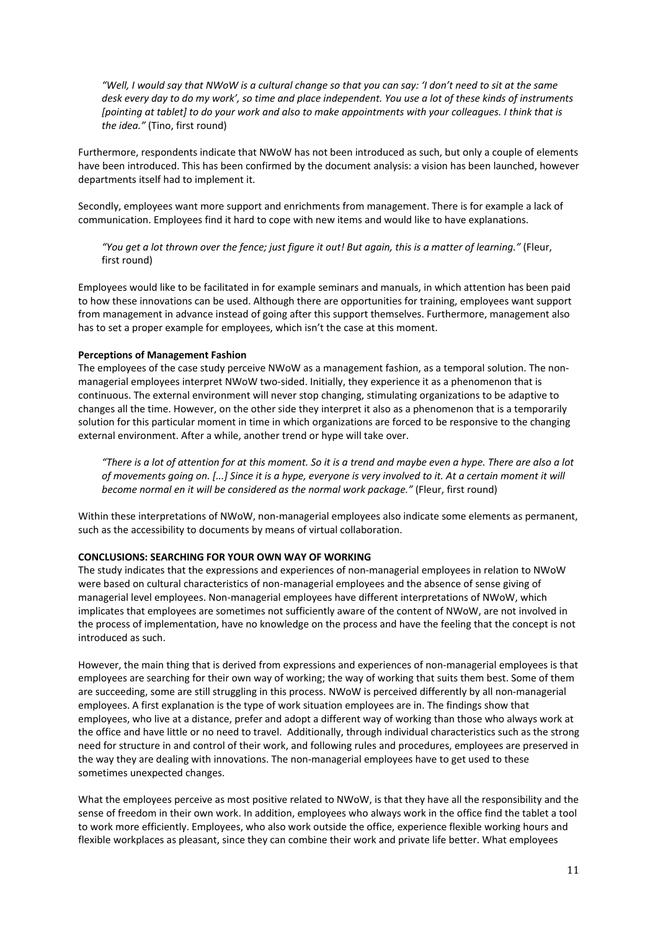"Well, I would say that NWoW is a cultural change so that you can say: 'I don't need to sit at the same desk every day to do my work', so time and place independent. You use a lot of these kinds of instruments [pointing at tablet] to do your work and also to make appointments with your colleagues. I think that is *the idea."* (Tino, first round)

Furthermore, respondents indicate that NWoW has not been introduced as such, but only a couple of elements have been introduced. This has been confirmed by the document analysis: a vision has been launched, however departments itself had to implement it.

Secondly, employees want more support and enrichments from management. There is for example a lack of communication. Employees find it hard to cope with new items and would like to have explanations.

"You get a lot thrown over the fence; just figure it out! But again, this is a matter of learning." (Fleur, first round)

Employees would like to be facilitated in for example seminars and manuals, in which attention has been paid to how these innovations can be used. Although there are opportunities for training, employees want support from management in advance instead of going after this support themselves. Furthermore, management also has to set a proper example for employees, which isn't the case at this moment.

## **Perceptions of Management Fashion**

The employees of the case study perceive NWoW as a management fashion, as a temporal solution. The non‐ managerial employees interpret NWoW two-sided. Initially, they experience it as a phenomenon that is continuous. The external environment will never stop changing, stimulating organizations to be adaptive to changes all the time. However, on the other side they interpret it also as a phenomenon that is a temporarily solution for this particular moment in time in which organizations are forced to be responsive to the changing external environment. After a while, another trend or hype will take over.

"There is a lot of attention for at this moment. So it is a trend and maybe even a hype. There are also a lot of movements going on. [...] Since it is a hype, everyone is very involved to it. At a certain moment it will *become normal en it will be considered as the normal work package."* (Fleur, first round)

Within these interpretations of NWoW, non-managerial employees also indicate some elements as permanent, such as the accessibility to documents by means of virtual collaboration.

## **CONCLUSIONS: SEARCHING FOR YOUR OWN WAY OF WORKING**

The study indicates that the expressions and experiences of non-managerial employees in relation to NWoW were based on cultural characteristics of non-managerial employees and the absence of sense giving of managerial level employees. Non-managerial employees have different interpretations of NWoW, which implicates that employees are sometimes not sufficiently aware of the content of NWoW, are not involved in the process of implementation, have no knowledge on the process and have the feeling that the concept is not introduced as such.

However, the main thing that is derived from expressions and experiences of non-managerial employees is that employees are searching for their own way of working; the way of working that suits them best. Some of them are succeeding, some are still struggling in this process. NWoW is perceived differently by all non-managerial employees. A first explanation is the type of work situation employees are in. The findings show that employees, who live at a distance, prefer and adopt a different way of working than those who always work at the office and have little or no need to travel. Additionally, through individual characteristics such as the strong need for structure in and control of their work, and following rules and procedures, employees are preserved in the way they are dealing with innovations. The non-managerial employees have to get used to these sometimes unexpected changes.

What the employees perceive as most positive related to NWoW, is that they have all the responsibility and the sense of freedom in their own work. In addition, employees who always work in the office find the tablet a tool to work more efficiently. Employees, who also work outside the office, experience flexible working hours and flexible workplaces as pleasant, since they can combine their work and private life better. What employees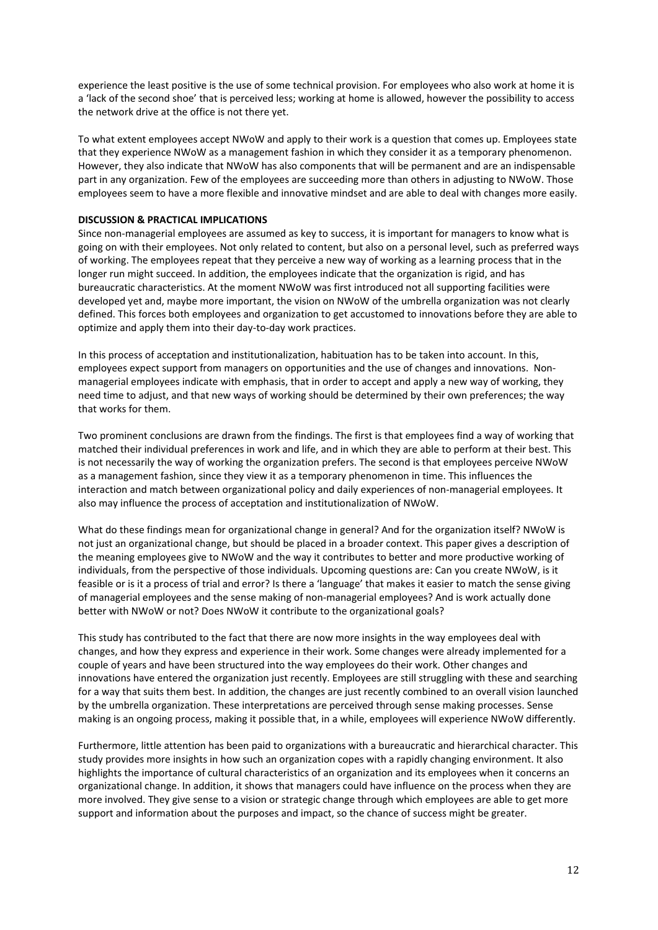experience the least positive is the use of some technical provision. For employees who also work at home it is a 'lack of the second shoe' that is perceived less; working at home is allowed, however the possibility to access the network drive at the office is not there yet.

To what extent employees accept NWoW and apply to their work is a question that comes up. Employees state that they experience NWoW as a management fashion in which they consider it as a temporary phenomenon. However, they also indicate that NWoW has also components that will be permanent and are an indispensable part in any organization. Few of the employees are succeeding more than others in adjusting to NWoW. Those employees seem to have a more flexible and innovative mindset and are able to deal with changes more easily.

## **DISCUSSION & PRACTICAL IMPLICATIONS**

Since non-managerial employees are assumed as key to success, it is important for managers to know what is going on with their employees. Not only related to content, but also on a personal level, such as preferred ways of working. The employees repeat that they perceive a new way of working as a learning process that in the longer run might succeed. In addition, the employees indicate that the organization is rigid, and has bureaucratic characteristics. At the moment NWoW was first introduced not all supporting facilities were developed yet and, maybe more important, the vision on NWoW of the umbrella organization was not clearly defined. This forces both employees and organization to get accustomed to innovations before they are able to optimize and apply them into their day‐to‐day work practices.

In this process of acceptation and institutionalization, habituation has to be taken into account. In this, employees expect support from managers on opportunities and the use of changes and innovations. Nonmanagerial employees indicate with emphasis, that in order to accept and apply a new way of working, they need time to adjust, and that new ways of working should be determined by their own preferences; the way that works for them.

Two prominent conclusions are drawn from the findings. The first is that employees find a way of working that matched their individual preferences in work and life, and in which they are able to perform at their best. This is not necessarily the way of working the organization prefers. The second is that employees perceive NWoW as a management fashion, since they view it as a temporary phenomenon in time. This influences the interaction and match between organizational policy and daily experiences of non-managerial employees. It also may influence the process of acceptation and institutionalization of NWoW.

What do these findings mean for organizational change in general? And for the organization itself? NWoW is not just an organizational change, but should be placed in a broader context. This paper gives a description of the meaning employees give to NWoW and the way it contributes to better and more productive working of individuals, from the perspective of those individuals. Upcoming questions are: Can you create NWoW, is it feasible or is it a process of trial and error? Is there a 'language' that makes it easier to match the sense giving of managerial employees and the sense making of non‐managerial employees? And is work actually done better with NWoW or not? Does NWoW it contribute to the organizational goals?

This study has contributed to the fact that there are now more insights in the way employees deal with changes, and how they express and experience in their work. Some changes were already implemented for a couple of years and have been structured into the way employees do their work. Other changes and innovations have entered the organization just recently. Employees are still struggling with these and searching for a way that suits them best. In addition, the changes are just recently combined to an overall vision launched by the umbrella organization. These interpretations are perceived through sense making processes. Sense making is an ongoing process, making it possible that, in a while, employees will experience NWoW differently.

Furthermore, little attention has been paid to organizations with a bureaucratic and hierarchical character. This study provides more insights in how such an organization copes with a rapidly changing environment. It also highlights the importance of cultural characteristics of an organization and its employees when it concerns an organizational change. In addition, it shows that managers could have influence on the process when they are more involved. They give sense to a vision or strategic change through which employees are able to get more support and information about the purposes and impact, so the chance of success might be greater.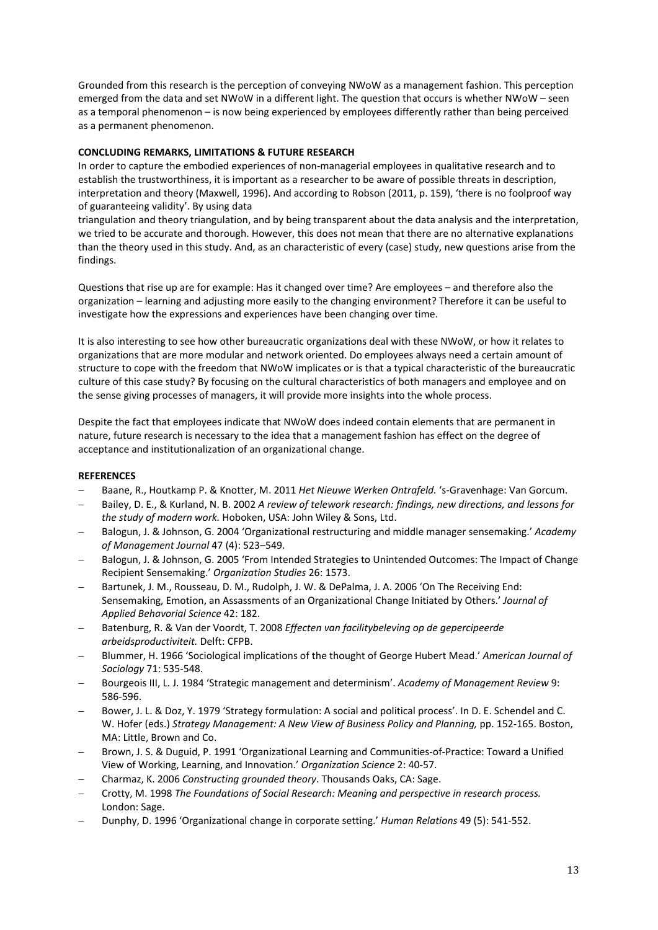Grounded from this research is the perception of conveying NWoW as a management fashion. This perception emerged from the data and set NWoW in a different light. The question that occurs is whether NWoW – seen as a temporal phenomenon – is now being experienced by employees differently rather than being perceived as a permanent phenomenon.

## **CONCLUDING REMARKS, LIMITATIONS & FUTURE RESEARCH**

In order to capture the embodied experiences of non-managerial employees in qualitative research and to establish the trustworthiness, it is important as a researcher to be aware of possible threats in description, interpretation and theory (Maxwell, 1996). And according to Robson (2011, p. 159), 'there is no foolproof way of guaranteeing validity'. By using data

triangulation and theory triangulation, and by being transparent about the data analysis and the interpretation, we tried to be accurate and thorough. However, this does not mean that there are no alternative explanations than the theory used in this study. And, as an characteristic of every (case) study, new questions arise from the findings.

Questions that rise up are for example: Has it changed over time? Are employees – and therefore also the organization – learning and adjusting more easily to the changing environment? Therefore it can be useful to investigate how the expressions and experiences have been changing over time.

It is also interesting to see how other bureaucratic organizations deal with these NWoW, or how it relates to organizations that are more modular and network oriented. Do employees always need a certain amount of structure to cope with the freedom that NWoW implicates or is that a typical characteristic of the bureaucratic culture of this case study? By focusing on the cultural characteristics of both managers and employee and on the sense giving processes of managers, it will provide more insights into the whole process.

Despite the fact that employees indicate that NWoW does indeed contain elements that are permanent in nature, future research is necessary to the idea that a management fashion has effect on the degree of acceptance and institutionalization of an organizational change.

## **REFERENCES**

- Baane, R., Houtkamp P. & Knotter, M. 2011 *Het Nieuwe Werken Ontrafeld.* 's‐Gravenhage: Van Gorcum.
- Bailey, D. E., & Kurland, N. B. 2002 *A review of telework research: findings, new directions, and lessons for the study of modern work.* Hoboken, USA: John Wiley & Sons, Ltd.
- Balogun, J. & Johnson, G. 2004 'Organizational restructuring and middle manager sensemaking.' *Academy of Management Journal* 47 (4): 523–549.
- Balogun, J. & Johnson, G. 2005 'From Intended Strategies to Unintended Outcomes: The Impact of Change Recipient Sensemaking.' *Organization Studies* 26: 1573.
- Bartunek, J. M., Rousseau, D. M., Rudolph, J. W. & DePalma, J. A. 2006 'On The Receiving End: Sensemaking, Emotion, an Assassments of an Organizational Change Initiated by Others.' *Journal of Applied Behavorial Science* 42: 182.
- Batenburg, R. & Van der Voordt, T. 2008 *Effecten van facilitybeleving op de gepercipeerde arbeidsproductiviteit.* Delft: CFPB.
- Blummer, H. 1966 'Sociological implications of the thought of George Hubert Mead.' *American Journal of Sociology* 71: 535‐548.
- Bourgeois III, L. J. 1984 'Strategic management and determinism'. *Academy of Management Review* 9: 586‐596.
- Bower, J. L. & Doz, Y. 1979 'Strategy formulation: A social and political process'. In D. E. Schendel and C. W. Hofer (eds.) *Strategy Management: A New View of Business Policy and Planning,* pp. 152‐165. Boston, MA: Little, Brown and Co.
- Brown, J. S. & Duguid, P. 1991 'Organizational Learning and Communities‐of‐Practice: Toward a Unified View of Working, Learning, and Innovation.' *Organization Science* 2: 40‐57.
- Charmaz, K. 2006 *Constructing grounded theory*. Thousands Oaks, CA: Sage.
- Crotty, M. 1998 *The Foundations of Social Research: Meaning and perspective in research process.* London: Sage.
- Dunphy, D. 1996 'Organizational change in corporate setting.' *Human Relations* 49 (5): 541‐552.